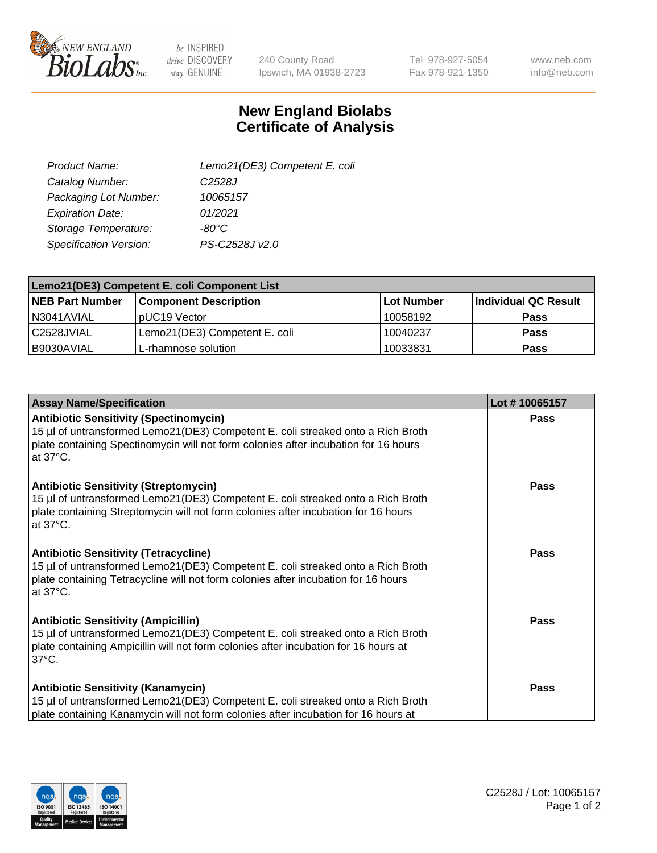

be INSPIRED drive DISCOVERY stay GENUINE

240 County Road Ipswich, MA 01938-2723 Tel 978-927-5054 Fax 978-921-1350

www.neb.com info@neb.com

## **New England Biolabs Certificate of Analysis**

| Lemo21(DE3) Competent E. coli |
|-------------------------------|
| C <sub>2528</sub> J           |
| 10065157                      |
| 01/2021                       |
| $-80^{\circ}$ C               |
| PS-C2528J v2.0                |
|                               |

| Lemo21(DE3) Competent E. coli Component List |                               |                   |                      |  |
|----------------------------------------------|-------------------------------|-------------------|----------------------|--|
| <b>NEB Part Number</b>                       | <b>Component Description</b>  | <b>Lot Number</b> | Individual QC Result |  |
| I N3041AVIAL                                 | IpUC19 Vector                 | 10058192          | Pass                 |  |
| C2528JVIAL                                   | Lemo21(DE3) Competent E. coli | 10040237          | <b>Pass</b>          |  |
| B9030AVIAL                                   | L-rhamnose solution           | 10033831          | <b>Pass</b>          |  |

| <b>Assay Name/Specification</b>                                                                                                                                                                                                             | Lot #10065157 |
|---------------------------------------------------------------------------------------------------------------------------------------------------------------------------------------------------------------------------------------------|---------------|
| <b>Antibiotic Sensitivity (Spectinomycin)</b><br>15 µl of untransformed Lemo21(DE3) Competent E. coli streaked onto a Rich Broth<br>plate containing Spectinomycin will not form colonies after incubation for 16 hours<br>at 37°C.         | Pass          |
| <b>Antibiotic Sensitivity (Streptomycin)</b><br>15 µl of untransformed Lemo21(DE3) Competent E. coli streaked onto a Rich Broth<br>plate containing Streptomycin will not form colonies after incubation for 16 hours<br>at 37°C.           | Pass          |
| <b>Antibiotic Sensitivity (Tetracycline)</b><br>15 µl of untransformed Lemo21(DE3) Competent E. coli streaked onto a Rich Broth<br>plate containing Tetracycline will not form colonies after incubation for 16 hours<br>at $37^{\circ}$ C. | <b>Pass</b>   |
| <b>Antibiotic Sensitivity (Ampicillin)</b><br>15 µl of untransformed Lemo21(DE3) Competent E. coli streaked onto a Rich Broth<br>plate containing Ampicillin will not form colonies after incubation for 16 hours at<br>$37^{\circ}$ C.     | <b>Pass</b>   |
| <b>Antibiotic Sensitivity (Kanamycin)</b><br>15 µl of untransformed Lemo21(DE3) Competent E. coli streaked onto a Rich Broth<br>plate containing Kanamycin will not form colonies after incubation for 16 hours at                          | Pass          |